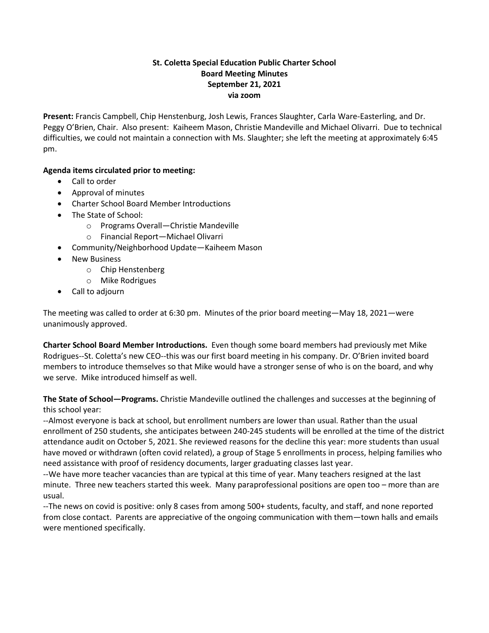## **St. Coletta Special Education Public Charter School Board Meeting Minutes September 21, 2021 via zoom**

**Present:** Francis Campbell, Chip Henstenburg, Josh Lewis, Frances Slaughter, Carla Ware-Easterling, and Dr. Peggy O'Brien, Chair. Also present: Kaiheem Mason, Christie Mandeville and Michael Olivarri. Due to technical difficulties, we could not maintain a connection with Ms. Slaughter; she left the meeting at approximately 6:45 pm.

## **Agenda items circulated prior to meeting:**

- Call to order
- Approval of minutes
- Charter School Board Member Introductions
- The State of School:
	- o Programs Overall—Christie Mandeville
	- o Financial Report—Michael Olivarri
- Community/Neighborhood Update—Kaiheem Mason
- New Business
	- o Chip Henstenberg
	- o Mike Rodrigues
- Call to adjourn

The meeting was called to order at 6:30 pm. Minutes of the prior board meeting—May 18, 2021—were unanimously approved.

**Charter School Board Member Introductions.** Even though some board members had previously met Mike Rodrigues--St. Coletta's new CEO--this was our first board meeting in his company. Dr. O'Brien invited board members to introduce themselves so that Mike would have a stronger sense of who is on the board, and why we serve. Mike introduced himself as well.

**The State of School—Programs.** Christie Mandeville outlined the challenges and successes at the beginning of this school year:

--Almost everyone is back at school, but enrollment numbers are lower than usual. Rather than the usual enrollment of 250 students, she anticipates between 240-245 students will be enrolled at the time of the district attendance audit on October 5, 2021. She reviewed reasons for the decline this year: more students than usual have moved or withdrawn (often covid related), a group of Stage 5 enrollments in process, helping families who need assistance with proof of residency documents, larger graduating classes last year.

--We have more teacher vacancies than are typical at this time of year. Many teachers resigned at the last minute. Three new teachers started this week. Many paraprofessional positions are open too – more than are usual.

--The news on covid is positive: only 8 cases from among 500+ students, faculty, and staff, and none reported from close contact. Parents are appreciative of the ongoing communication with them—town halls and emails were mentioned specifically.